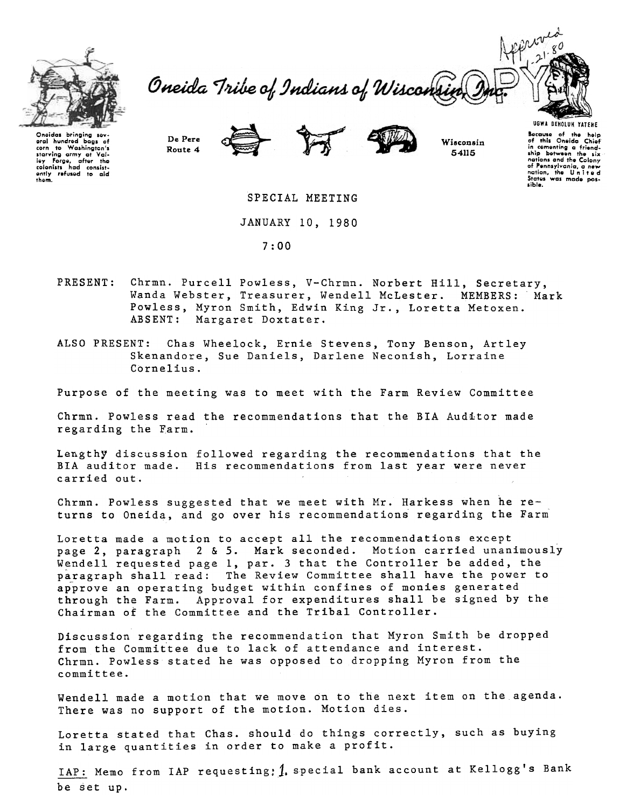

aral hundred bags of corn to Washington's starving army at Valiey rorge, atter the<br>colonists had consist-<br>ently refused to aid<br>them.

Oneida Tribe of Indians of Wisconsi



De Pere Route 4





Wisconsin 54115

SPECIAL MEETING

JANUARY 10, 1980

7:00

- PRESENT: Chrmn. Purcell Powless, V-Chrmn. Norbert Hill, Secretary, Wanda Webster, Treasurer, Wendell McLester. MEMBERS: Mark Powless, Myron Smith, Edwin King Jr., Loretta Metoxen. ABSENT: Margaret Doxtater.
- ALSO PRESENT: Chas Wheelock, Ernie Stevens, Tony Benson, Artley Skenandore, Sue Daniels, Darlene Neconish, Lorraine Cornelius.

Purpose of the meeting was to meet with the Farm Review Committee

Chrmn. Powless read the recommendations that the BrA Auditor made regarding the Farm.

Lengthy discussion followed regarding the recommendations that the BTA auditor made. His recommendations from last year were never carried out.

Chrmn. Powless suggested that we meet with Mr. Harkess when he returns to Oneida, and go over his recommendations regarding the Farm

Loretta made a motion to accept all the recommendations except page 2, paragraph 2 & 5. Mark seconded. Motion carried unanimously Wendell requested page 1, par. 3 that the Controller be added, the paragraph shall read: The Review Committee shall have the power to approve an operating budget within confines of monies generated through the Farm. Approval for expenditures shall be signed by the Chairman of the Committee and the Tribal Controller.

Discussion regarding the recommendation that Myron Smith be dropped from the Committee due to lack of attendance and interest. Chrmn. Powless stated he was opposed to dropping Myron from the committee.

Wendell made a motion that we move on to the next item on the agenda. There was no support of the motion. Motion dies.

Loretta stated that Chas. should do things correctly, such as buying in large quantities in order to make a profit.

IAP: Memo from IAP requesting: 1. special bank account at Kellogg's Bank be set up.